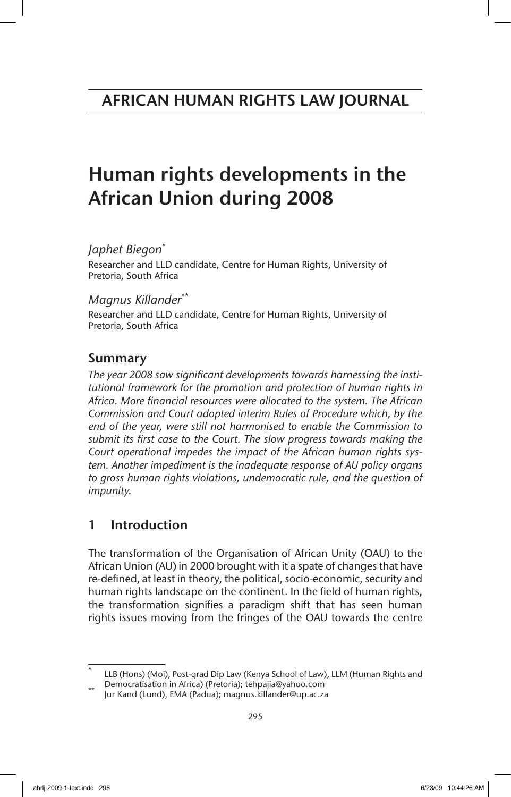# Human rights developments in the African Union during 2008

*Japhet Biegon*\*

Researcher and LLD candidate, Centre for Human Rights, University of Pretoria, South Africa

*Magnus Killander*\*\*

Researcher and LLD candidate, Centre for Human Rights, University of Pretoria, South Africa

# Summary

*The year 2008 saw significant developments towards harnessing the institutional framework for the promotion and protection of human rights in Africa. More financial resources were allocated to the system. The African Commission and Court adopted interim Rules of Procedure which, by the end of the year, were still not harmonised to enable the Commission to submit its first case to the Court. The slow progress towards making the Court operational impedes the impact of the African human rights system. Another impediment is the inadequate response of AU policy organs to gross human rights violations, undemocratic rule, and the question of impunity.*

# 1 Introduction

The transformation of the Organisation of African Unity (OAU) to the African Union (AU) in 2000 brought with it a spate of changes that have re-defined, at least in theory, the political, socio-economic, security and human rights landscape on the continent. In the field of human rights, the transformation signifies a paradigm shift that has seen human rights issues moving from the fringes of the OAU towards the centre

LLB (Hons) (Moi), Post-grad Dip Law (Kenya School of Law), LLM (Human Rights and

Democratisation in Africa) (Pretoria); tehpajia@yahoo.com \*\* Jur Kand (Lund), EMA (Padua); magnus.killander@up.ac.za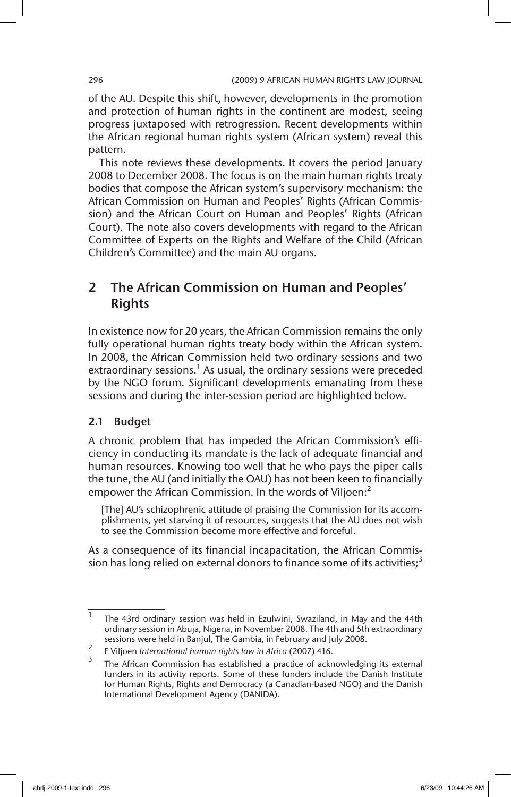of the AU. Despite this shift, however, developments in the promotion and protection of human rights in the continent are modest, seeing progress juxtaposed with retrogression. Recent developments within the African regional human rights system (African system) reveal this pattern.

This note reviews these developments. It covers the period January 2008 to December 2008. The focus is on the main human rights treaty bodies that compose the African system's supervisory mechanism: the African Commission on Human and Peoples' Rights (African Commission) and the African Court on Human and Peoples' Rights (African Court). The note also covers developments with regard to the African Committee of Experts on the Rights and Welfare of the Child (African Children's Committee) and the main AU organs.

# 2 The African Commission on Human and Peoples' Rights

In existence now for 20 years, the African Commission remains the only fully operational human rights treaty body within the African system. In 2008, the African Commission held two ordinary sessions and two extraordinary sessions.<sup>1</sup> As usual, the ordinary sessions were preceded by the NGO forum. Significant developments emanating from these sessions and during the inter-session period are highlighted below.

# 2.1 Budget

A chronic problem that has impeded the African Commission's efficiency in conducting its mandate is the lack of adequate financial and human resources. Knowing too well that he who pays the piper calls the tune, the AU (and initially the OAU) has not been keen to financially empower the African Commission. In the words of Viljoen:<sup>2</sup>

[The] AU's schizophrenic attitude of praising the Commission for its accomplishments, yet starving it of resources, suggests that the AU does not wish to see the Commission become more effective and forceful.

As a consequence of its financial incapacitation, the African Commission has long relied on external donors to finance some of its activities;<sup>3</sup>

<sup>&</sup>lt;sup>1</sup> The 43rd ordinary session was held in Ezulwini, Swaziland, in May and the 44th ordinary session in Abuja, Nigeria, in November 2008. The 4th and 5th extraordinary sessions were held in Banjul, The Gambia, in February and July 2008.

<sup>2</sup> F Viljoen *International human rights law in Africa* (2007) 416.

The African Commission has established a practice of acknowledging its external funders in its activity reports. Some of these funders include the Danish Institute for Human Rights, Rights and Democracy (a Canadian-based NGO) and the Danish International Development Agency (DANIDA).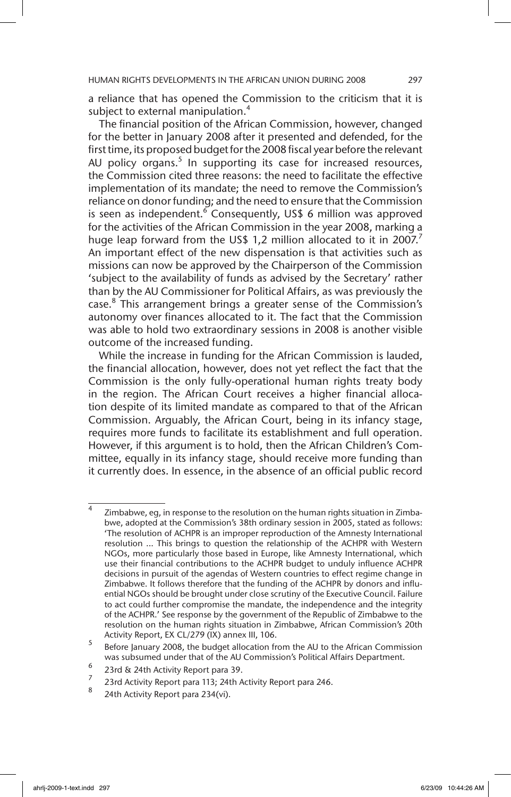a reliance that has opened the Commission to the criticism that it is subject to external manipulation.<sup>4</sup>

The financial position of the African Commission, however, changed for the better in January 2008 after it presented and defended, for the first time, its proposed budget for the 2008 fiscal year before the relevant AU policy organs.<sup>5</sup> In supporting its case for increased resources, the Commission cited three reasons: the need to facilitate the effective implementation of its mandate; the need to remove the Commission's reliance on donor funding; and the need to ensure that the Commission is seen as independent.<sup>6</sup> Consequently, US\$ 6 million was approved for the activities of the African Commission in the year 2008, marking a huge leap forward from the US\$ 1,2 million allocated to it in 2007.<sup>7</sup> An important effect of the new dispensation is that activities such as missions can now be approved by the Chairperson of the Commission 'subject to the availability of funds as advised by the Secretary' rather than by the AU Commissioner for Political Affairs, as was previously the case.<sup>8</sup> This arrangement brings a greater sense of the Commission's autonomy over finances allocated to it. The fact that the Commission was able to hold two extraordinary sessions in 2008 is another visible outcome of the increased funding.

While the increase in funding for the African Commission is lauded, the financial allocation, however, does not yet reflect the fact that the Commission is the only fully-operational human rights treaty body in the region. The African Court receives a higher financial allocation despite of its limited mandate as compared to that of the African Commission. Arguably, the African Court, being in its infancy stage, requires more funds to facilitate its establishment and full operation. However, if this argument is to hold, then the African Children's Committee, equally in its infancy stage, should receive more funding than it currently does. In essence, in the absence of an official public record

Zimbabwe, eg, in response to the resolution on the human rights situation in Zimbabwe, adopted at the Commission's 38th ordinary session in 2005, stated as follows: 'The resolution of ACHPR is an improper reproduction of the Amnesty International resolution ... This brings to question the relationship of the ACHPR with Western NGOs, more particularly those based in Europe, like Amnesty International, which use their financial contributions to the ACHPR budget to unduly influence ACHPR decisions in pursuit of the agendas of Western countries to effect regime change in Zimbabwe. It follows therefore that the funding of the ACHPR by donors and influential NGOs should be brought under close scrutiny of the Executive Council. Failure to act could further compromise the mandate, the independence and the integrity of the ACHPR.' See response by the government of the Republic of Zimbabwe to the resolution on the human rights situation in Zimbabwe, African Commission's 20th Activity Report, EX CL/279 (IX) annex III, 106.

<sup>5</sup> Before January 2008, the budget allocation from the AU to the African Commission was subsumed under that of the AU Commission's Political Affairs Department.

 $\frac{6}{7}$  23rd & 24th Activity Report para 39.

<sup>&</sup>lt;sup>2</sup> 23rd Activity Report para 113; 24th Activity Report para 246.

<sup>24</sup>th Activity Report para 234(vi).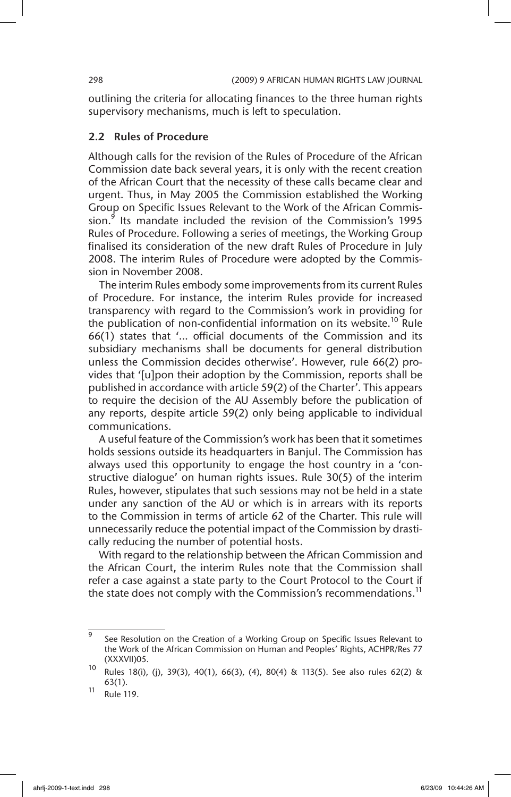outlining the criteria for allocating finances to the three human rights supervisory mechanisms, much is left to speculation.

# 2.2 Rules of Procedure

Although calls for the revision of the Rules of Procedure of the African Commission date back several years, it is only with the recent creation of the African Court that the necessity of these calls became clear and urgent. Thus, in May 2005 the Commission established the Working Group on Specific Issues Relevant to the Work of the African Commission.<sup>9</sup> Its mandate included the revision of the Commission's 1995 Rules of Procedure. Following a series of meetings, the Working Group finalised its consideration of the new draft Rules of Procedure in July 2008. The interim Rules of Procedure were adopted by the Commission in November 2008.

The interim Rules embody some improvements from its current Rules of Procedure. For instance, the interim Rules provide for increased transparency with regard to the Commission's work in providing for the publication of non-confidential information on its website.<sup>10</sup> Rule 66(1) states that '… official documents of the Commission and its subsidiary mechanisms shall be documents for general distribution unless the Commission decides otherwise'. However, rule 66(2) provides that '[u]pon their adoption by the Commission, reports shall be published in accordance with article 59(2) of the Charter'. This appears to require the decision of the AU Assembly before the publication of any reports, despite article 59(2) only being applicable to individual communications.

A useful feature of the Commission's work has been that it sometimes holds sessions outside its headquarters in Banjul. The Commission has always used this opportunity to engage the host country in a 'constructive dialogue' on human rights issues. Rule 30(5) of the interim Rules, however, stipulates that such sessions may not be held in a state under any sanction of the AU or which is in arrears with its reports to the Commission in terms of article 62 of the Charter. This rule will unnecessarily reduce the potential impact of the Commission by drastically reducing the number of potential hosts.

With regard to the relationship between the African Commission and the African Court, the interim Rules note that the Commission shall refer a case against a state party to the Court Protocol to the Court if the state does not comply with the Commission's recommendations.<sup>11</sup>

 $\overline{9}$  See Resolution on the Creation of a Working Group on Specific Issues Relevant to the Work of the African Commission on Human and Peoples' Rights, ACHPR/Res 77 (XXXVII)05.

<sup>10</sup> Rules 18(i), (j), 39(3), 40(1), 66(3), (4), 80(4) & 113(5). See also rules 62(2) & 63(1).

 $^{11}$  Rule 119.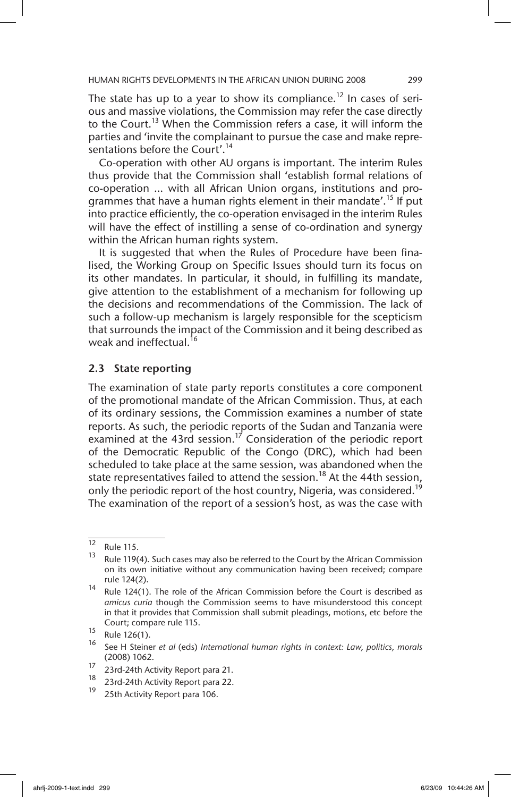The state has up to a year to show its compliance.<sup>12</sup> In cases of serious and massive violations, the Commission may refer the case directly to the Court.<sup>13</sup> When the Commission refers a case, it will inform the parties and 'invite the complainant to pursue the case and make representations before the Court'.<sup>14</sup>

Co-operation with other AU organs is important. The interim Rules thus provide that the Commission shall 'establish formal relations of co-operation … with all African Union organs, institutions and programmes that have a human rights element in their mandate'.<sup>15</sup> If put into practice efficiently, the co-operation envisaged in the interim Rules will have the effect of instilling a sense of co-ordination and synergy within the African human rights system.

It is suggested that when the Rules of Procedure have been finalised, the Working Group on Specific Issues should turn its focus on its other mandates. In particular, it should, in fulfilling its mandate, give attention to the establishment of a mechanism for following up the decisions and recommendations of the Commission. The lack of such a follow-up mechanism is largely responsible for the scepticism that surrounds the impact of the Commission and it being described as weak and ineffectual.<sup>16</sup>

### 2.3 State reporting

The examination of state party reports constitutes a core component of the promotional mandate of the African Commission. Thus, at each of its ordinary sessions, the Commission examines a number of state reports. As such, the periodic reports of the Sudan and Tanzania were examined at the 43rd session.<sup>17</sup> Consideration of the periodic report of the Democratic Republic of the Congo (DRC), which had been scheduled to take place at the same session, was abandoned when the state representatives failed to attend the session.<sup>18</sup> At the 44th session, only the periodic report of the host country, Nigeria, was considered.<sup>19</sup> The examination of the report of a session's host, as was the case with

 $\overline{12}$  Rule 115.

Rule 119(4). Such cases may also be referred to the Court by the African Commission on its own initiative without any communication having been received; compare rule 124(2).

 $14$  Rule 124(1). The role of the African Commission before the Court is described as *amicus curia* though the Commission seems to have misunderstood this concept in that it provides that Commission shall submit pleadings, motions, etc before the Court; compare rule 115.

 $\frac{15}{16}$  Rule 126(1).

<sup>16</sup> See H Steiner *et al* (eds) *International human rights in context: Law, politics, morals* (2008) 1062.

 $\frac{17}{18}$  23rd-24th Activity Report para 21.<br>
23rd-24th Activity Report para 22.

 $^{16}$  23rd-24th Activity Report para 22.

<sup>25</sup>th Activity Report para 106.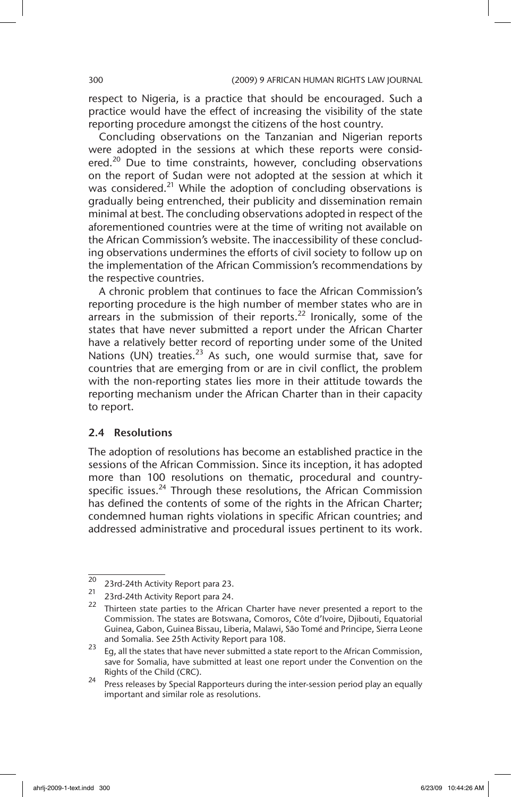respect to Nigeria, is a practice that should be encouraged. Such a practice would have the effect of increasing the visibility of the state reporting procedure amongst the citizens of the host country.

Concluding observations on the Tanzanian and Nigerian reports were adopted in the sessions at which these reports were considered.<sup>20</sup> Due to time constraints, however, concluding observations on the report of Sudan were not adopted at the session at which it was considered.<sup>21</sup> While the adoption of concluding observations is gradually being entrenched, their publicity and dissemination remain minimal at best. The concluding observations adopted in respect of the aforementioned countries were at the time of writing not available on the African Commission's website. The inaccessibility of these concluding observations undermines the efforts of civil society to follow up on the implementation of the African Commission's recommendations by the respective countries.

A chronic problem that continues to face the African Commission's reporting procedure is the high number of member states who are in arrears in the submission of their reports.<sup>22</sup> Ironically, some of the states that have never submitted a report under the African Charter have a relatively better record of reporting under some of the United Nations (UN) treaties. $^{23}$  As such, one would surmise that, save for countries that are emerging from or are in civil conflict, the problem with the non-reporting states lies more in their attitude towards the reporting mechanism under the African Charter than in their capacity to report.

# 2.4 Resolutions

The adoption of resolutions has become an established practice in the sessions of the African Commission. Since its inception, it has adopted more than 100 resolutions on thematic, procedural and countryspecific issues. $^{24}$  Through these resolutions, the African Commission has defined the contents of some of the rights in the African Charter; condemned human rights violations in specific African countries; and addressed administrative and procedural issues pertinent to its work.

 $\frac{20}{23}$  23rd-24th Activity Report para 23.

<sup>23</sup>rd-24th Activity Report para 24.

 $22$  Thirteen state parties to the African Charter have never presented a report to the Commission. The states are Botswana, Comoros, Côte d'Ivoire, Djibouti, Equatorial Guinea, Gabon, Guinea Bissau, Liberia, Malawi, São Tomé and Principe, Sierra Leone and Somalia. See 25th Activity Report para 108.

<sup>23</sup> Eg, all the states that have never submitted a state report to the African Commission, save for Somalia, have submitted at least one report under the Convention on the Rights of the Child (CRC).

<sup>&</sup>lt;sup>24</sup> Press releases by Special Rapporteurs during the inter-session period play an equally important and similar role as resolutions.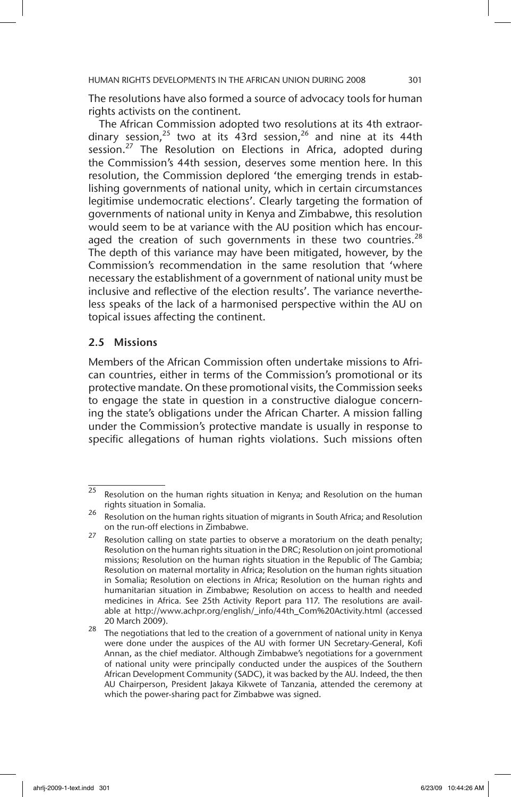The resolutions have also formed a source of advocacy tools for human rights activists on the continent.

The African Commission adopted two resolutions at its 4th extraordinary session,<sup>25</sup> two at its 43rd session,<sup>26</sup> and nine at its 44th session.<sup>27</sup> The Resolution on Elections in Africa, adopted during the Commission's 44th session, deserves some mention here. In this resolution, the Commission deplored 'the emerging trends in establishing governments of national unity, which in certain circumstances legitimise undemocratic elections'. Clearly targeting the formation of governments of national unity in Kenya and Zimbabwe, this resolution would seem to be at variance with the AU position which has encouraged the creation of such governments in these two countries. $^{28}$ The depth of this variance may have been mitigated, however, by the Commission's recommendation in the same resolution that 'where necessary the establishment of a government of national unity must be inclusive and reflective of the election results'. The variance nevertheless speaks of the lack of a harmonised perspective within the AU on topical issues affecting the continent.

#### 2.5 Missions

Members of the African Commission often undertake missions to African countries, either in terms of the Commission's promotional or its protective mandate. On these promotional visits, the Commission seeks to engage the state in question in a constructive dialogue concerning the state's obligations under the African Charter. A mission falling under the Commission's protective mandate is usually in response to specific allegations of human rights violations. Such missions often

 $\overline{25}$  Resolution on the human rights situation in Kenya; and Resolution on the human rights situation in Somalia.

<sup>&</sup>lt;sup>26</sup> Resolution on the human rights situation of migrants in South Africa; and Resolution on the run-off elections in Zimbabwe.

 $27$  Resolution calling on state parties to observe a moratorium on the death penalty; Resolution on the human rights situation in the DRC; Resolution on joint promotional missions; Resolution on the human rights situation in the Republic of The Gambia; Resolution on maternal mortality in Africa; Resolution on the human rights situation in Somalia; Resolution on elections in Africa; Resolution on the human rights and humanitarian situation in Zimbabwe; Resolution on access to health and needed medicines in Africa. See 25th Activity Report para 117. The resolutions are available at http://www.achpr.org/english/\_info/44th\_Com%20Activity.html (accessed 20 March 2009).

<sup>28</sup> The negotiations that led to the creation of a government of national unity in Kenya were done under the auspices of the AU with former UN Secretary-General, Kofi Annan, as the chief mediator. Although Zimbabwe's negotiations for a government of national unity were principally conducted under the auspices of the Southern African Development Community (SADC), it was backed by the AU. Indeed, the then AU Chairperson, President Jakaya Kikwete of Tanzania, attended the ceremony at which the power-sharing pact for Zimbabwe was signed.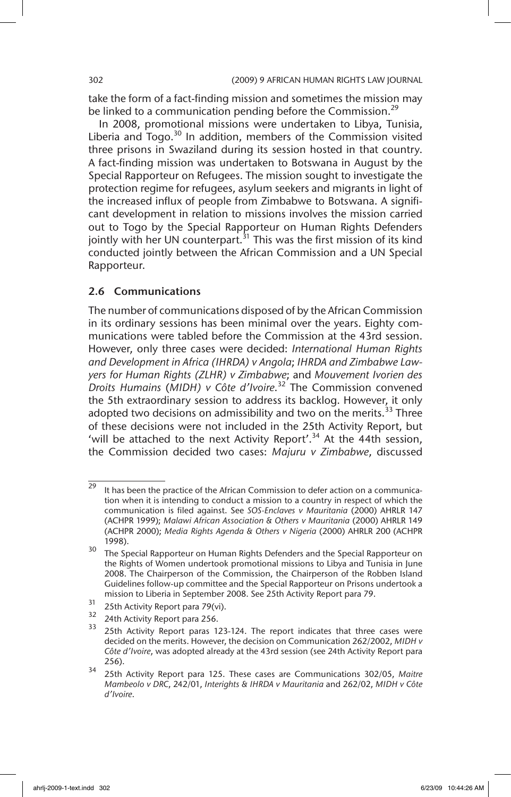take the form of a fact-finding mission and sometimes the mission may be linked to a communication pending before the Commission.<sup>29</sup>

In 2008, promotional missions were undertaken to Libya, Tunisia, Liberia and Togo. $30$  In addition, members of the Commission visited three prisons in Swaziland during its session hosted in that country. A fact-finding mission was undertaken to Botswana in August by the Special Rapporteur on Refugees. The mission sought to investigate the protection regime for refugees, asylum seekers and migrants in light of the increased influx of people from Zimbabwe to Botswana. A significant development in relation to missions involves the mission carried out to Togo by the Special Rapporteur on Human Rights Defenders jointly with her UN counterpart.<sup>31</sup> This was the first mission of its kind conducted jointly between the African Commission and a UN Special Rapporteur.

### 2.6 Communications

The number of communications disposed of by the African Commission in its ordinary sessions has been minimal over the years. Eighty communications were tabled before the Commission at the 43rd session. However, only three cases were decided: *International Human Rights and Development in Africa (IHRDA) v Angola*; *IHRDA and Zimbabwe Lawyers for Human Rights (ZLHR) v Zimbabwe*; and *Mouvement Ivorien des Droits Humains* (*MIDH) v Côte d'Ivoire*. 32 The Commission convened the 5th extraordinary session to address its backlog. However, it only adopted two decisions on admissibility and two on the merits.<sup>33</sup> Three of these decisions were not included in the 25th Activity Report, but 'will be attached to the next Activity Report'.<sup>34</sup> At the 44th session, the Commission decided two cases: *Majuru v Zimbabwe*, discussed

 $29$  It has been the practice of the African Commission to defer action on a communication when it is intending to conduct a mission to a country in respect of which the communication is filed against. See *SOS-Enclaves v Mauritania* (2000) AHRLR 147 (ACHPR 1999); *Malawi African Association & Others v Mauritania* (2000) AHRLR 149 (ACHPR 2000); *Media Rights Agenda & Others v Nigeria* (2000) AHRLR 200 (ACHPR 1998).

<sup>&</sup>lt;sup>30</sup> The Special Rapporteur on Human Rights Defenders and the Special Rapporteur on the Rights of Women undertook promotional missions to Libya and Tunisia in June 2008. The Chairperson of the Commission, the Chairperson of the Robben Island Guidelines follow-up committee and the Special Rapporteur on Prisons undertook a mission to Liberia in September 2008. See 25th Activity Report para 79.

 $\frac{31}{32}$  25th Activity Report para 79(vi).<br> $\frac{32}{32}$  24th Activity Report para 256

 $\frac{32}{33}$  24th Activity Report para 256.

<sup>25</sup>th Activity Report paras 123-124. The report indicates that three cases were decided on the merits. However, the decision on Communication 262/2002, *MIDH v Côte d'Ivoire*, was adopted already at the 43rd session (see 24th Activity Report para 256).

<sup>34</sup> 25th Activity Report para 125. These cases are Communications 302/05, *Maitre Mambeolo v DRC*, 242/01, *Interights & IHRDA v Mauritania* and 262/02, *MIDH v Côte d'Ivoire*.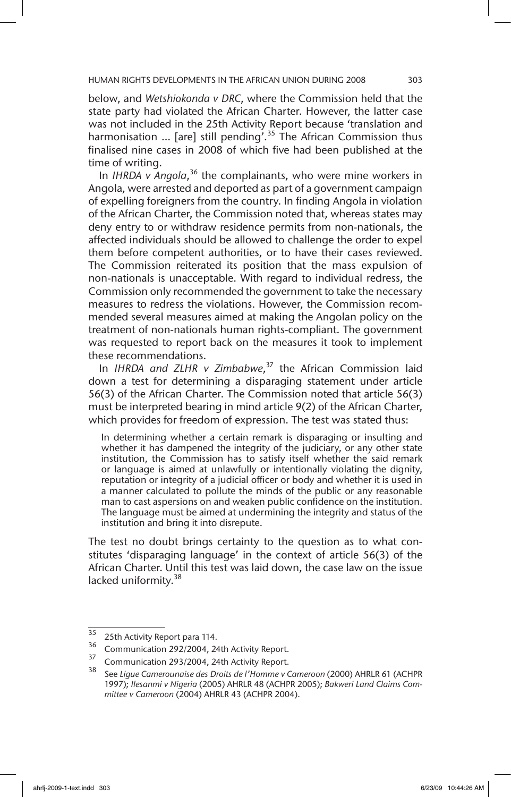below, and *Wetshiokonda v DRC*, where the Commission held that the state party had violated the African Charter. However, the latter case was not included in the 25th Activity Report because 'translation and harmonisation ... [are] still pending'.<sup>35</sup> The African Commission thus finalised nine cases in 2008 of which five had been published at the time of writing.

In IHRDA v Angola,<sup>36</sup> the complainants, who were mine workers in Angola, were arrested and deported as part of a government campaign of expelling foreigners from the country. In finding Angola in violation of the African Charter, the Commission noted that, whereas states may deny entry to or withdraw residence permits from non-nationals, the affected individuals should be allowed to challenge the order to expel them before competent authorities, or to have their cases reviewed. The Commission reiterated its position that the mass expulsion of non-nationals is unacceptable. With regard to individual redress, the Commission only recommended the government to take the necessary measures to redress the violations. However, the Commission recommended several measures aimed at making the Angolan policy on the treatment of non-nationals human rights-compliant. The government was requested to report back on the measures it took to implement these recommendations.

In *IHRDA and ZLHR v Zimbabwe*, 37 the African Commission laid down a test for determining a disparaging statement under article 56(3) of the African Charter. The Commission noted that article 56(3) must be interpreted bearing in mind article 9(2) of the African Charter, which provides for freedom of expression. The test was stated thus:

In determining whether a certain remark is disparaging or insulting and whether it has dampened the integrity of the judiciary, or any other state institution, the Commission has to satisfy itself whether the said remark or language is aimed at unlawfully or intentionally violating the dignity, reputation or integrity of a judicial officer or body and whether it is used in a manner calculated to pollute the minds of the public or any reasonable man to cast aspersions on and weaken public confidence on the institution. The language must be aimed at undermining the integrity and status of the institution and bring it into disrepute.

The test no doubt brings certainty to the question as to what constitutes 'disparaging language' in the context of article 56(3) of the African Charter. Until this test was laid down, the case law on the issue lacked uniformity.<sup>38</sup>

 $\frac{35}{35}$  25th Activity Report para 114.<br> $\frac{36}{36}$  Communication 292/2004 24

 $\frac{36}{37}$  Communication 292/2004, 24th Activity Report.

 $\frac{37}{38}$  Communication 293/2004, 24th Activity Report.

<sup>38</sup> See *Ligue Camerounaise des Droits de l'Homme v Cameroon* (2000) AHRLR 61 (ACHPR 1997); *Ilesanmi v Nigeria* (2005) AHRLR 48 (ACHPR 2005); *Bakweri Land Claims Committee v Cameroon* (2004) AHRLR 43 (ACHPR 2004).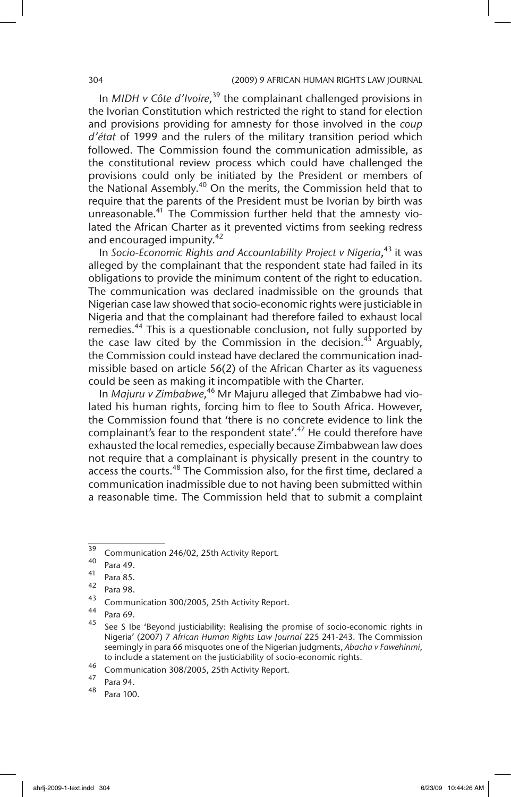#### 304 (2009) 9 AFRICAN HUMAN RIGHTS LAW JOURNAL

In *MIDH v Côte d'Ivoire*, 39 the complainant challenged provisions in the Ivorian Constitution which restricted the right to stand for election and provisions providing for amnesty for those involved in the *coup d'état* of 1999 and the rulers of the military transition period which followed. The Commission found the communication admissible, as the constitutional review process which could have challenged the provisions could only be initiated by the President or members of the National Assembly.40 On the merits, the Commission held that to require that the parents of the President must be Ivorian by birth was unreasonable.<sup>41</sup> The Commission further held that the amnesty violated the African Charter as it prevented victims from seeking redress and encouraged impunity.<sup>42</sup>

In Socio-Economic Rights and Accountability Project v Nigeria,<sup>43</sup> it was alleged by the complainant that the respondent state had failed in its obligations to provide the minimum content of the right to education. The communication was declared inadmissible on the grounds that Nigerian case law showed that socio-economic rights were justiciable in Nigeria and that the complainant had therefore failed to exhaust local remedies.<sup>44</sup> This is a questionable conclusion, not fully supported by the case law cited by the Commission in the decision.<sup>45</sup> Arguably, the Commission could instead have declared the communication inadmissible based on article 56(2) of the African Charter as its vagueness could be seen as making it incompatible with the Charter.

In *Majuru v Zimbabwe*, 46 Mr Majuru alleged that Zimbabwe had violated his human rights, forcing him to flee to South Africa. However, the Commission found that 'there is no concrete evidence to link the complainant's fear to the respondent state'. $47$  He could therefore have exhausted the local remedies, especially because Zimbabwean law does not require that a complainant is physically present in the country to access the courts.<sup>48</sup> The Commission also, for the first time, declared a communication inadmissible due to not having been submitted within a reasonable time. The Commission held that to submit a complaint

 $\frac{39}{39}$  Communication 246/02, 25th Activity Report.

 $^{40}$  Para 49.

 $^{41}$  Para 85.

 $\frac{42}{43}$  Para 98.

 $^{43}$  Communication 300/2005, 25th Activity Report.

 $^{44}$  Para 69.

See S Ibe 'Beyond justiciability: Realising the promise of socio-economic rights in Nigeria' (2007) 7 *African Human Rights Law Journal* 225 241-243. The Commission seemingly in para 66 misquotes one of the Nigerian judgments, *Abacha v Fawehinmi*, to include a statement on the justiciability of socio-economic rights.

<sup>&</sup>lt;sup>46</sup> Communication 308/2005, 25th Activity Report.

 $^{47}$  Para 94.

Para 100.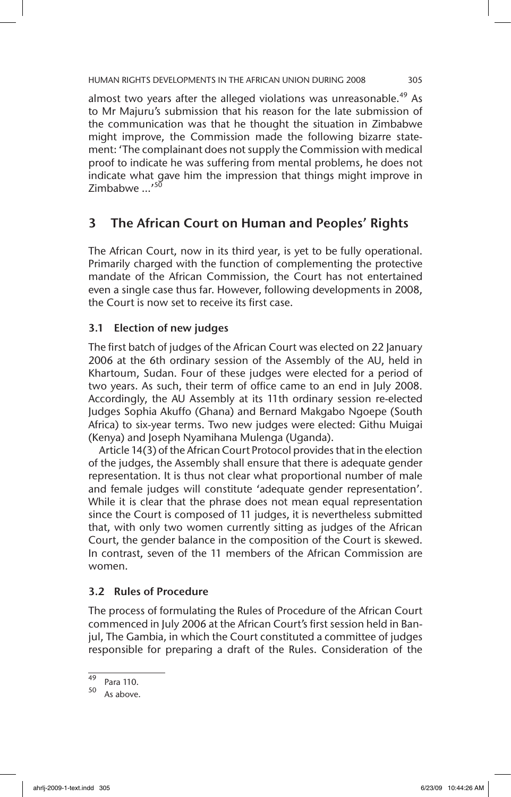almost two years after the alleged violations was unreasonable.<sup>49</sup> As to Mr Majuru's submission that his reason for the late submission of the communication was that he thought the situation in Zimbabwe might improve, the Commission made the following bizarre statement: 'The complainant does not supply the Commission with medical proof to indicate he was suffering from mental problems, he does not indicate what gave him the impression that things might improve in 7imbabwe …'<sup>50</sup>

# 3 The African Court on Human and Peoples' Rights

The African Court, now in its third year, is yet to be fully operational. Primarily charged with the function of complementing the protective mandate of the African Commission, the Court has not entertained even a single case thus far. However, following developments in 2008, the Court is now set to receive its first case.

# 3.1 Election of new judges

The first batch of judges of the African Court was elected on 22 January 2006 at the 6th ordinary session of the Assembly of the AU, held in Khartoum, Sudan. Four of these judges were elected for a period of two years. As such, their term of office came to an end in July 2008. Accordingly, the AU Assembly at its 11th ordinary session re-elected Judges Sophia Akuffo (Ghana) and Bernard Makgabo Ngoepe (South Africa) to six-year terms. Two new judges were elected: Githu Muigai (Kenya) and Joseph Nyamihana Mulenga (Uganda).

Article 14(3) of the African Court Protocol provides that in the election of the judges, the Assembly shall ensure that there is adequate gender representation. It is thus not clear what proportional number of male and female judges will constitute 'adequate gender representation'. While it is clear that the phrase does not mean equal representation since the Court is composed of 11 judges, it is nevertheless submitted that, with only two women currently sitting as judges of the African Court, the gender balance in the composition of the Court is skewed. In contrast, seven of the 11 members of the African Commission are women.

# 3.2 Rules of Procedure

The process of formulating the Rules of Procedure of the African Court commenced in July 2006 at the African Court's first session held in Banjul, The Gambia, in which the Court constituted a committee of judges responsible for preparing a draft of the Rules. Consideration of the

 $^{49}$  Para 110.

As above.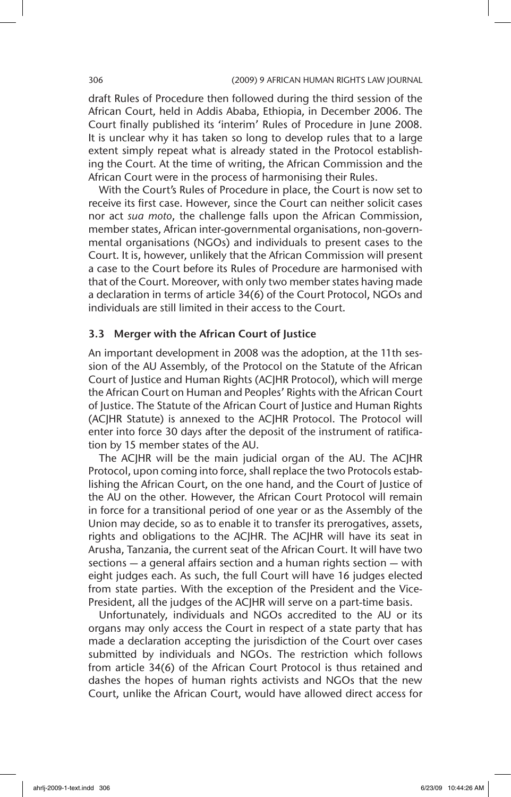draft Rules of Procedure then followed during the third session of the African Court, held in Addis Ababa, Ethiopia, in December 2006. The Court finally published its 'interim' Rules of Procedure in June 2008. It is unclear why it has taken so long to develop rules that to a large extent simply repeat what is already stated in the Protocol establishing the Court. At the time of writing, the African Commission and the African Court were in the process of harmonising their Rules.

With the Court's Rules of Procedure in place, the Court is now set to receive its first case. However, since the Court can neither solicit cases nor act *sua moto*, the challenge falls upon the African Commission, member states, African inter-governmental organisations, non-governmental organisations (NGOs) and individuals to present cases to the Court. It is, however, unlikely that the African Commission will present a case to the Court before its Rules of Procedure are harmonised with that of the Court. Moreover, with only two member states having made a declaration in terms of article 34(6) of the Court Protocol, NGOs and individuals are still limited in their access to the Court.

### 3.3 Merger with the African Court of Justice

An important development in 2008 was the adoption, at the 11th session of the AU Assembly, of the Protocol on the Statute of the African Court of Justice and Human Rights (ACJHR Protocol), which will merge the African Court on Human and Peoples' Rights with the African Court of Justice. The Statute of the African Court of Justice and Human Rights (ACJHR Statute) is annexed to the ACJHR Protocol. The Protocol will enter into force 30 days after the deposit of the instrument of ratification by 15 member states of the AU.

The ACJHR will be the main judicial organ of the AU. The ACJHR Protocol, upon coming into force, shall replace the two Protocols establishing the African Court, on the one hand, and the Court of Justice of the AU on the other. However, the African Court Protocol will remain in force for a transitional period of one year or as the Assembly of the Union may decide, so as to enable it to transfer its prerogatives, assets, rights and obligations to the ACJHR. The ACJHR will have its seat in Arusha, Tanzania, the current seat of the African Court. It will have two sections — a general affairs section and a human rights section — with eight judges each. As such, the full Court will have 16 judges elected from state parties. With the exception of the President and the Vice-President, all the judges of the ACJHR will serve on a part-time basis.

Unfortunately, individuals and NGOs accredited to the AU or its organs may only access the Court in respect of a state party that has made a declaration accepting the jurisdiction of the Court over cases submitted by individuals and NGOs. The restriction which follows from article 34(6) of the African Court Protocol is thus retained and dashes the hopes of human rights activists and NGOs that the new Court, unlike the African Court, would have allowed direct access for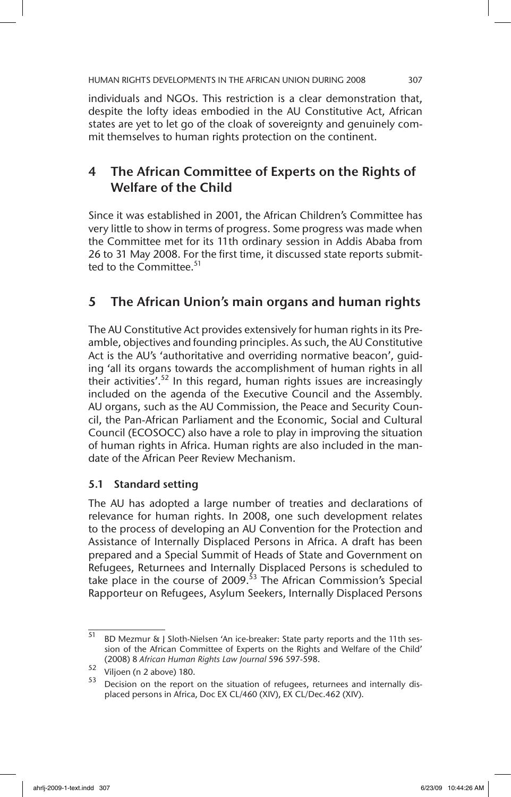individuals and NGOs. This restriction is a clear demonstration that, despite the lofty ideas embodied in the AU Constitutive Act, African states are yet to let go of the cloak of sovereignty and genuinely commit themselves to human rights protection on the continent.

# 4 The African Committee of Experts on the Rights of Welfare of the Child

Since it was established in 2001, the African Children's Committee has very little to show in terms of progress. Some progress was made when the Committee met for its 11th ordinary session in Addis Ababa from 26 to 31 May 2008. For the first time, it discussed state reports submitted to the Committee.<sup>51</sup>

# 5 The African Union's main organs and human rights

The AU Constitutive Act provides extensively for human rights in its Preamble, objectives and founding principles. As such, the AU Constitutive Act is the AU's 'authoritative and overriding normative beacon', guiding 'all its organs towards the accomplishment of human rights in all their activities'.<sup>52</sup> In this regard, human rights issues are increasingly included on the agenda of the Executive Council and the Assembly. AU organs, such as the AU Commission, the Peace and Security Council, the Pan-African Parliament and the Economic, Social and Cultural Council (ECOSOCC) also have a role to play in improving the situation of human rights in Africa. Human rights are also included in the mandate of the African Peer Review Mechanism.

# 5.1 Standard setting

The AU has adopted a large number of treaties and declarations of relevance for human rights. In 2008, one such development relates to the process of developing an AU Convention for the Protection and Assistance of Internally Displaced Persons in Africa. A draft has been prepared and a Special Summit of Heads of State and Government on Refugees, Returnees and Internally Displaced Persons is scheduled to take place in the course of 2009.<sup>53</sup> The African Commission's Special Rapporteur on Refugees, Asylum Seekers, Internally Displaced Persons

 $\overline{51}$  BD Mezmur  $\overline{\text{G}}$  Sloth-Nielsen 'An ice-breaker: State party reports and the 11th session of the African Committee of Experts on the Rights and Welfare of the Child' (2008) 8 *African Human Rights Law Journal* 596 597-598.

 $52$  Viljoen (n 2 above) 180.

Decision on the report on the situation of refugees, returnees and internally displaced persons in Africa, Doc EX CL/460 (XIV), EX CL/Dec.462 (XIV).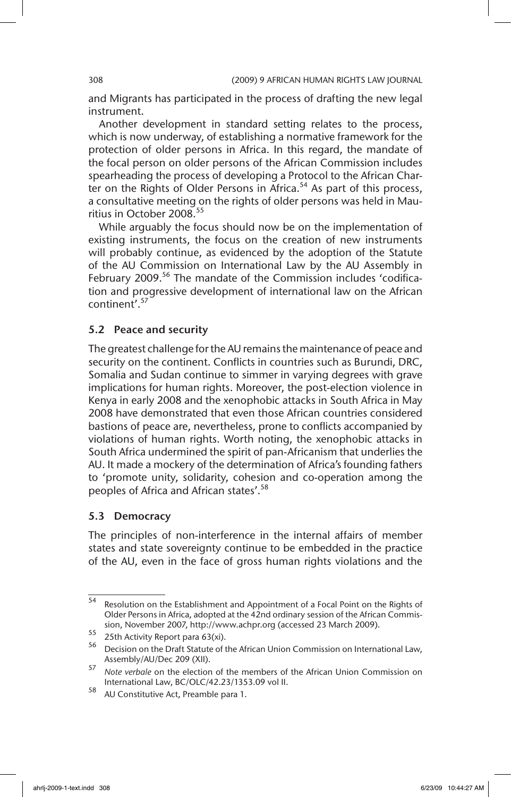and Migrants has participated in the process of drafting the new legal instrument.

Another development in standard setting relates to the process, which is now underway, of establishing a normative framework for the protection of older persons in Africa. In this regard, the mandate of the focal person on older persons of the African Commission includes spearheading the process of developing a Protocol to the African Charter on the Rights of Older Persons in Africa.<sup>54</sup> As part of this process, a consultative meeting on the rights of older persons was held in Mauritius in October 2008.<sup>55</sup>

While arguably the focus should now be on the implementation of existing instruments, the focus on the creation of new instruments will probably continue, as evidenced by the adoption of the Statute of the AU Commission on International Law by the AU Assembly in February 2009.<sup>56</sup> The mandate of the Commission includes 'codification and progressive development of international law on the African continent'.57

# 5.2 Peace and security

The greatest challenge for the AU remains the maintenance of peace and security on the continent. Conflicts in countries such as Burundi, DRC, Somalia and Sudan continue to simmer in varying degrees with grave implications for human rights. Moreover, the post-election violence in Kenya in early 2008 and the xenophobic attacks in South Africa in May 2008 have demonstrated that even those African countries considered bastions of peace are, nevertheless, prone to conflicts accompanied by violations of human rights. Worth noting, the xenophobic attacks in South Africa undermined the spirit of pan-Africanism that underlies the AU. It made a mockery of the determination of Africa's founding fathers to 'promote unity, solidarity, cohesion and co-operation among the peoples of Africa and African states'.<sup>58</sup>

### 5.3 Democracy

The principles of non-interference in the internal affairs of member states and state sovereignty continue to be embedded in the practice of the AU, even in the face of gross human rights violations and the

<sup>54</sup> Resolution on the Establishment and Appointment of a Focal Point on the Rights of Older Persons in Africa, adopted at the 42nd ordinary session of the African Commission, November 2007, http://www.achpr.org (accessed 23 March 2009).

<sup>55</sup> 25th Activity Report para 63(xi).

<sup>56</sup> Decision on the Draft Statute of the African Union Commission on International Law, Assembly/AU/Dec 209 (XII).

<sup>57</sup> *Note verbale* on the election of the members of the African Union Commission on International Law, BC/OLC/42.23/1353.09 vol II.

<sup>58</sup> AU Constitutive Act, Preamble para 1.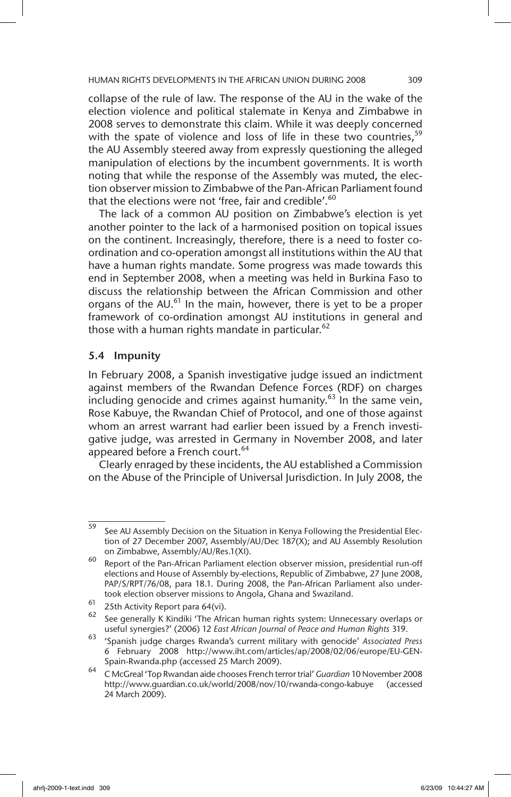collapse of the rule of law. The response of the AU in the wake of the election violence and political stalemate in Kenya and Zimbabwe in 2008 serves to demonstrate this claim. While it was deeply concerned with the spate of violence and loss of life in these two countries,  $59$ the AU Assembly steered away from expressly questioning the alleged manipulation of elections by the incumbent governments. It is worth noting that while the response of the Assembly was muted, the election observer mission to Zimbabwe of the Pan-African Parliament found that the elections were not 'free, fair and credible'.<sup>60</sup>

The lack of a common AU position on Zimbabwe's election is yet another pointer to the lack of a harmonised position on topical issues on the continent. Increasingly, therefore, there is a need to foster coordination and co-operation amongst all institutions within the AU that have a human rights mandate. Some progress was made towards this end in September 2008, when a meeting was held in Burkina Faso to discuss the relationship between the African Commission and other organs of the  $AU$ .<sup>61</sup> In the main, however, there is yet to be a proper framework of co-ordination amongst AU institutions in general and those with a human rights mandate in particular.<sup>62</sup>

#### 5.4 Impunity

In February 2008, a Spanish investigative judge issued an indictment against members of the Rwandan Defence Forces (RDF) on charges including genocide and crimes against humanity.<sup>63</sup> In the same vein, Rose Kabuye, the Rwandan Chief of Protocol, and one of those against whom an arrest warrant had earlier been issued by a French investigative judge, was arrested in Germany in November 2008, and later appeared before a French court.<sup>64</sup>

Clearly enraged by these incidents, the AU established a Commission on the Abuse of the Principle of Universal Jurisdiction. In July 2008, the

<sup>59</sup> See AU Assembly Decision on the Situation in Kenya Following the Presidential Election of 27 December 2007, Assembly/AU/Dec 187(X); and AU Assembly Resolution on Zimbabwe, Assembly/AU/Res.1(XI).

<sup>60</sup> Report of the Pan-African Parliament election observer mission, presidential run-off elections and House of Assembly by-elections, Republic of Zimbabwe, 27 June 2008, PAP/S/RPT/76/08, para 18.1. During 2008, the Pan-African Parliament also undertook election observer missions to Angola, Ghana and Swaziland.

 $^{61}$  25th Activity Report para 64(vi).<br> $^{62}$  See generally K Kindiki 'The Afri

<sup>62</sup> See generally K Kindiki 'The African human rights system: Unnecessary overlaps or useful synergies?' (2006) 12 *East African Journal of Peace and Human Rights* 319.

<sup>63</sup> 'Spanish judge charges Rwanda's current military with genocide' *Associated Press* 6 February 2008 http://www.iht.com/articles/ap/2008/02/06/europe/EU-GEN-Spain-Rwanda.php (accessed 25 March 2009).

<sup>64</sup> C McGreal 'Top Rwandan aide chooses French terror trial' *Guardian* 10 November 2008 http://www.guardian.co.uk/world/2008/nov/10/rwanda-congo-kabuye (accessed 24 March 2009).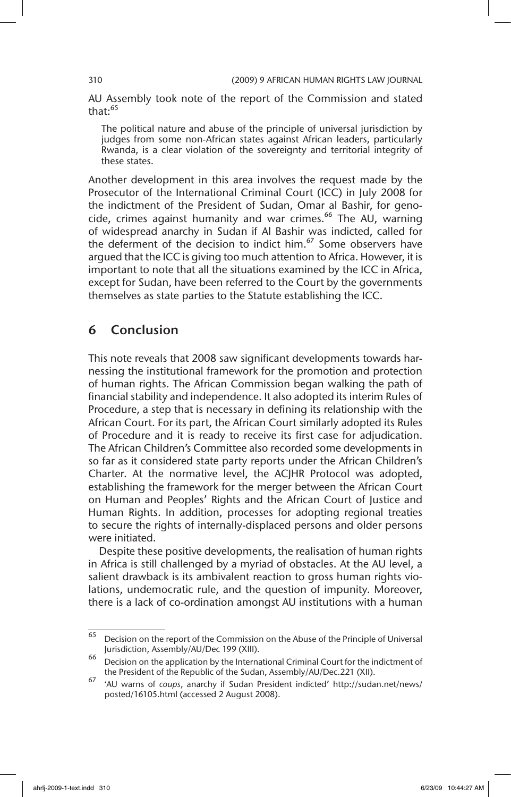AU Assembly took note of the report of the Commission and stated that: $65$ 

The political nature and abuse of the principle of universal jurisdiction by judges from some non-African states against African leaders, particularly Rwanda, is a clear violation of the sovereignty and territorial integrity of these states.

Another development in this area involves the request made by the Prosecutor of the International Criminal Court (ICC) in July 2008 for the indictment of the President of Sudan, Omar al Bashir, for genocide, crimes against humanity and war crimes.<sup>66</sup> The AU, warning of widespread anarchy in Sudan if Al Bashir was indicted, called for the deferment of the decision to indict him.<sup>67</sup> Some observers have argued that the ICC is giving too much attention to Africa. However, it is important to note that all the situations examined by the ICC in Africa, except for Sudan, have been referred to the Court by the governments themselves as state parties to the Statute establishing the ICC.

# 6 Conclusion

This note reveals that 2008 saw significant developments towards harnessing the institutional framework for the promotion and protection of human rights. The African Commission began walking the path of financial stability and independence. It also adopted its interim Rules of Procedure, a step that is necessary in defining its relationship with the African Court. For its part, the African Court similarly adopted its Rules of Procedure and it is ready to receive its first case for adjudication. The African Children's Committee also recorded some developments in so far as it considered state party reports under the African Children's Charter. At the normative level, the ACJHR Protocol was adopted, establishing the framework for the merger between the African Court on Human and Peoples' Rights and the African Court of Justice and Human Rights. In addition, processes for adopting regional treaties to secure the rights of internally-displaced persons and older persons were initiated.

Despite these positive developments, the realisation of human rights in Africa is still challenged by a myriad of obstacles. At the AU level, a salient drawback is its ambivalent reaction to gross human rights violations, undemocratic rule, and the question of impunity. Moreover, there is a lack of co-ordination amongst AU institutions with a human

 $\overline{65}$  Decision on the report of the Commission on the Abuse of the Principle of Universal Jurisdiction, Assembly/AU/Dec 199 (XIII).

 $66$  Decision on the application by the International Criminal Court for the indictment of the President of the Republic of the Sudan, Assembly/AU/Dec.221 (XII).

<sup>67</sup> 'AU warns of *coups*, anarchy if Sudan President indicted' http://sudan.net/news/ posted/16105.html (accessed 2 August 2008).